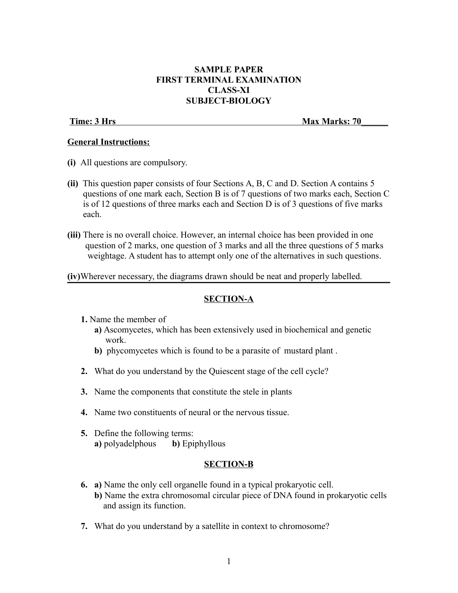# **SAMPLE PAPER FIRST TERMINAL EXAMINATION CLASS-XI SUBJECT-BIOLOGY**

**Time: 3 Hrs** Max Marks: 70

# **General Instructions:**

- **(i)** All questions are compulsory.
- **(ii)** This question paper consists of four Sections A, B, C and D. Section A contains 5 questions of one mark each, Section B is of 7 questions of two marks each, Section C is of 12 questions of three marks each and Section D is of 3 questions of five marks each.
- **(iii)** There is no overall choice. However, an internal choice has been provided in one question of 2 marks, one question of 3 marks and all the three questions of 5 marks weightage. A student has to attempt only one of the alternatives in such questions.

**(iv)**Wherever necessary, the diagrams drawn should be neat and properly labelled.

# **SECTION-A**

- **1.** Name the member of
	- **a)** Ascomycetes, which has been extensively used in biochemical and genetic work.
	- **b)** phycomycetes which is found to be a parasite of mustard plant .
- **2.** What do you understand by the Quiescent stage of the cell cycle?
- **3.** Name the components that constitute the stele in plants
- **4.** Name two constituents of neural or the nervous tissue.
- **5.** Define the following terms: **a)** polyadelphous **b)** Epiphyllous

# **SECTION-B**

- **6. a)** Name the only cell organelle found in a typical prokaryotic cell.  **b)** Name the extra chromosomal circular piece of DNA found in prokaryotic cells and assign its function.
- **7.** What do you understand by a satellite in context to chromosome?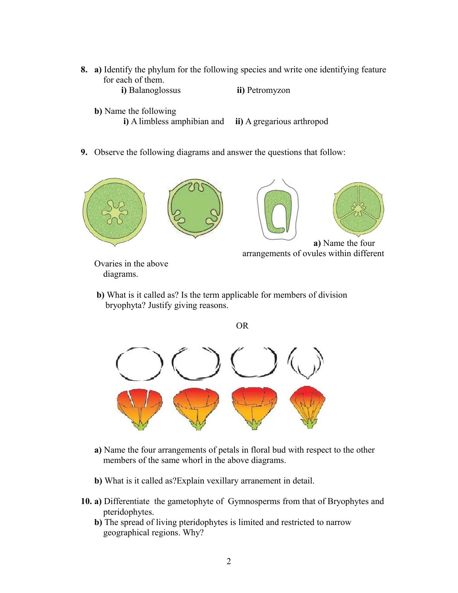- **8. a)** Identify the phylum for the following species and write one identifying feature for each of them.
	- **i)** Balanoglossus **ii)** Petromyzon
	- **b)** Name the following
		- **i)** A limbless amphibian and **ii)** A gregarious arthropod
- **9.** Observe the following diagrams and answer the questions that follow:





**a)** Name the four arrangements of ovules within different

Ovaries in the above diagrams.

 **b)** What is it called as? Is the term applicable for members of division bryophyta? Justify giving reasons.



- **a)** Name the four arrangements of petals in floral bud with respect to the other members of the same whorl in the above diagrams.
- **b)** What is it called as?Explain vexillary arranement in detail.
- **10. a)** Differentiate the gametophyte of Gymnosperms from that of Bryophytes and pteridophytes.
	- **b)** The spread of living pteridophytes is limited and restricted to narrow geographical regions. Why?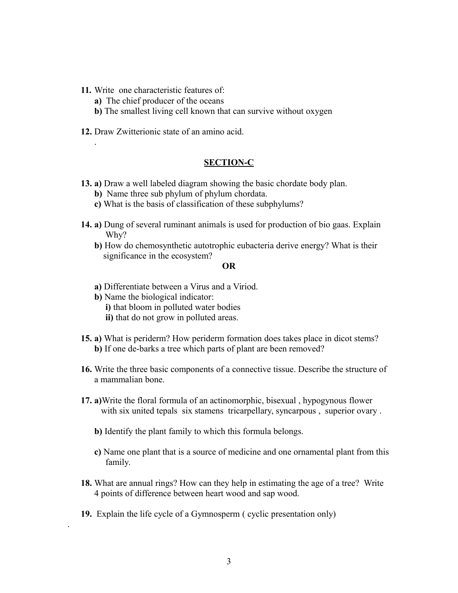**11.** Write one characteristic features of:

.

.

- **a)** The chief producer of the oceans
- **b)** The smallest living cell known that can survive without oxygen
- **12.** Draw Zwitterionic state of an amino acid.

## **SECTION-C**

- **13. a)** Draw a well labeled diagram showing the basic chordate body plan.
	- **b)** Name three sub phylum of phylum chordata.
	- **c)** What is the basis of classification of these subphylums?
- **14. a)** Dung of several ruminant animals is used for production of bio gaas. Explain Why?
	- **b)** How do chemosynthetic autotrophic eubacteria derive energy? What is their significance in the ecosystem?

### **OR**

- **a)** Differentiate between a Virus and a Viriod.
- **b)** Name the biological indicator:
	- **i)** that bloom in polluted water bodies
	- **ii)** that do not grow in polluted areas.
- **15. a)** What is periderm? How periderm formation does takes place in dicot stems? **b)** If one de-barks a tree which parts of plant are been removed?
- **16.** Write the three basic components of a connective tissue. Describe the structure of a mammalian bone.
- **17. a)**Write the floral formula of an actinomorphic, bisexual , hypogynous flower with six united tepals six stamens tricarpellary, syncarpous, superior ovary.
	- **b)** Identify the plant family to which this formula belongs.
	- **c)** Name one plant that is a source of medicine and one ornamental plant from this family.
- **18.** What are annual rings? How can they help in estimating the age of a tree? Write 4 points of difference between heart wood and sap wood.
- **19.** Explain the life cycle of a Gymnosperm ( cyclic presentation only)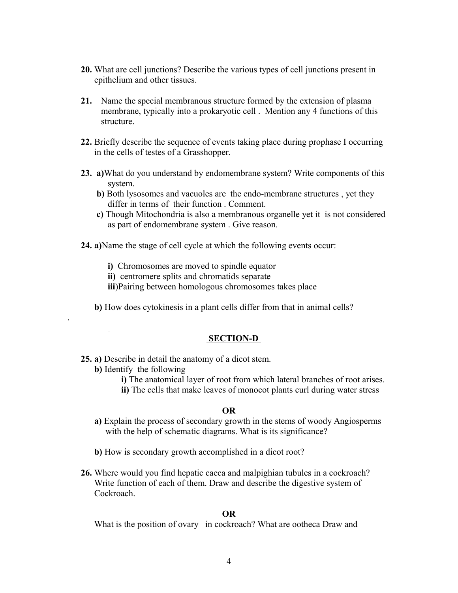- **20.** What are cell junctions? Describe the various types of cell junctions present in epithelium and other tissues.
- **21.** Name the special membranous structure formed by the extension of plasma membrane, typically into a prokaryotic cell . Mention any 4 functions of this structure.
- **22.** Briefly describe the sequence of events taking place during prophase I occurring in the cells of testes of a Grasshopper.
- **23. a)**What do you understand by endomembrane system? Write components of this system.
	- **b)** Both lysosomes and vacuoles are the endo-membrane structures , yet they differ in terms of their function . Comment.
	- **c)** Though Mitochondria is also a membranous organelle yet it is not considered as part of endomembrane system . Give reason.
- **24. a)**Name the stage of cell cycle at which the following events occur:
	- **i)** Chromosomes are moved to spindle equator
	- **ii)** centromere splits and chromatids separate
	- **iii**)Pairing between homologous chromosomes takes place
	- **b)** How does cytokinesis in a plant cells differ from that in animal cells?

# **SECTION-D**

# **25. a)** Describe in detail the anatomy of a dicot stem.

**b)** Identify the following

.

- **i)** The anatomical layer of root from which lateral branches of root arises.
- **ii)** The cells that make leaves of monocot plants curl during water stress

## **OR**

- **a)** Explain the process of secondary growth in the stems of woody Angiosperms with the help of schematic diagrams. What is its significance?
- **b)** How is secondary growth accomplished in a dicot root?
- **26.** Where would you find hepatic caeca and malpighian tubules in a cockroach? Write function of each of them. Draw and describe the digestive system of Cockroach.

## **OR**

What is the position of ovary in cockroach? What are ootheca Draw and